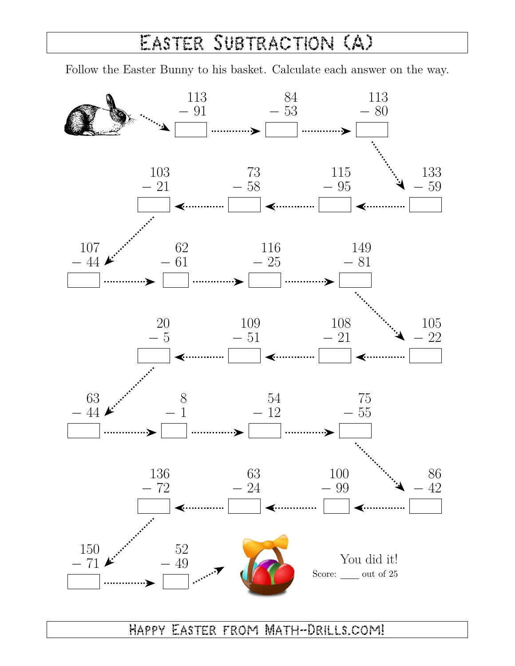## Easter Subtraction (A)

Follow the Easter Bunny to his basket. Calculate each answer on the way.



Happy Easter from Math-Drills.com!